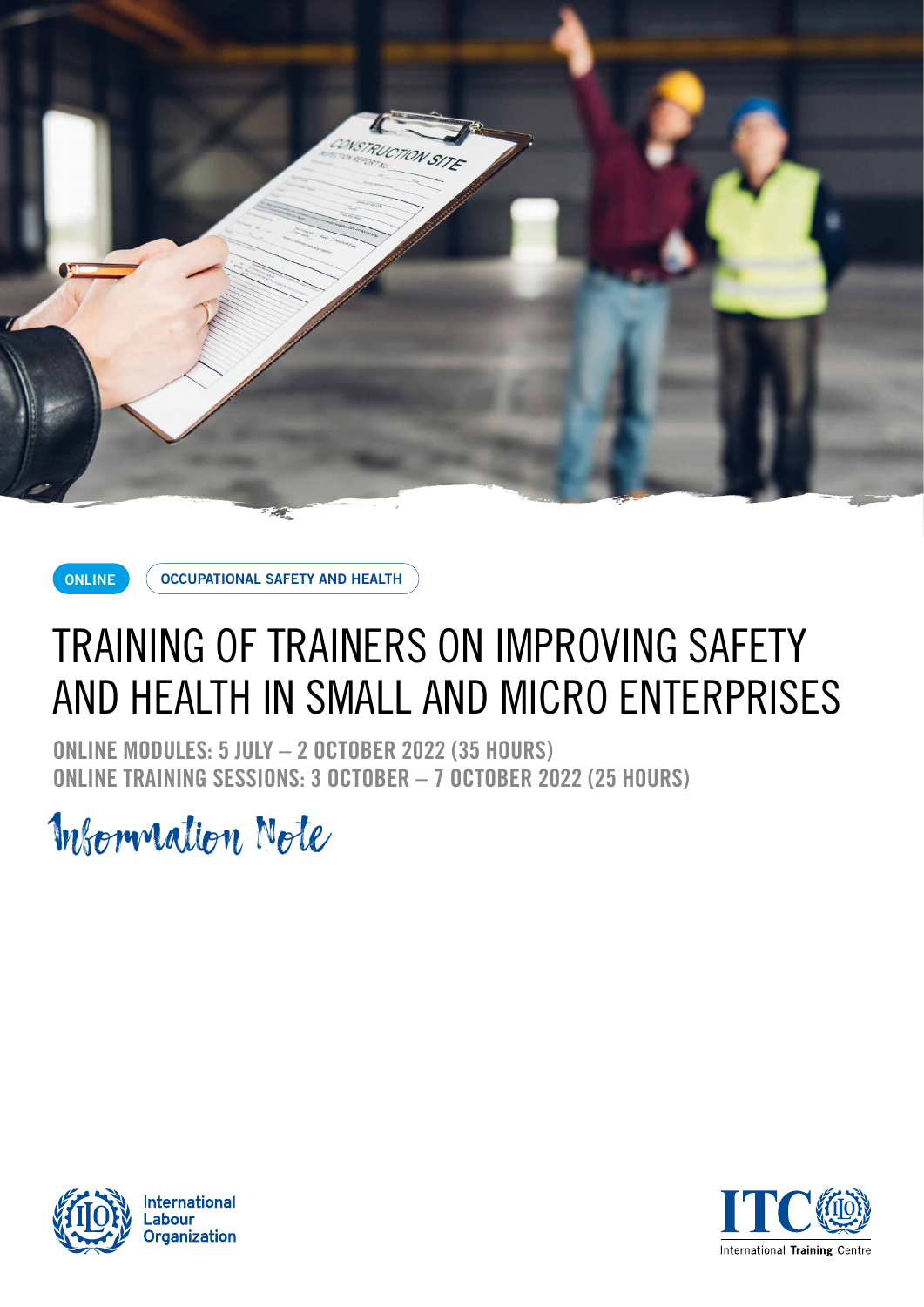



**OCCUPATIONAL SAFETY AND HEALTH**

# TRAINING OF TRAINERS ON IMPROVING SAFETY AND HEALTH IN SMALL AND MICRO ENTERPRISES

**ONLINE MODULES: 5 JULY – 2 OCTOBER 2022 (35 HOURS) ONLINE TRAINING SESSIONS: 3 OCTOBER – 7 OCTOBER 2022 (25 HOURS)**

Information Note



**International** abour. **Organization** 

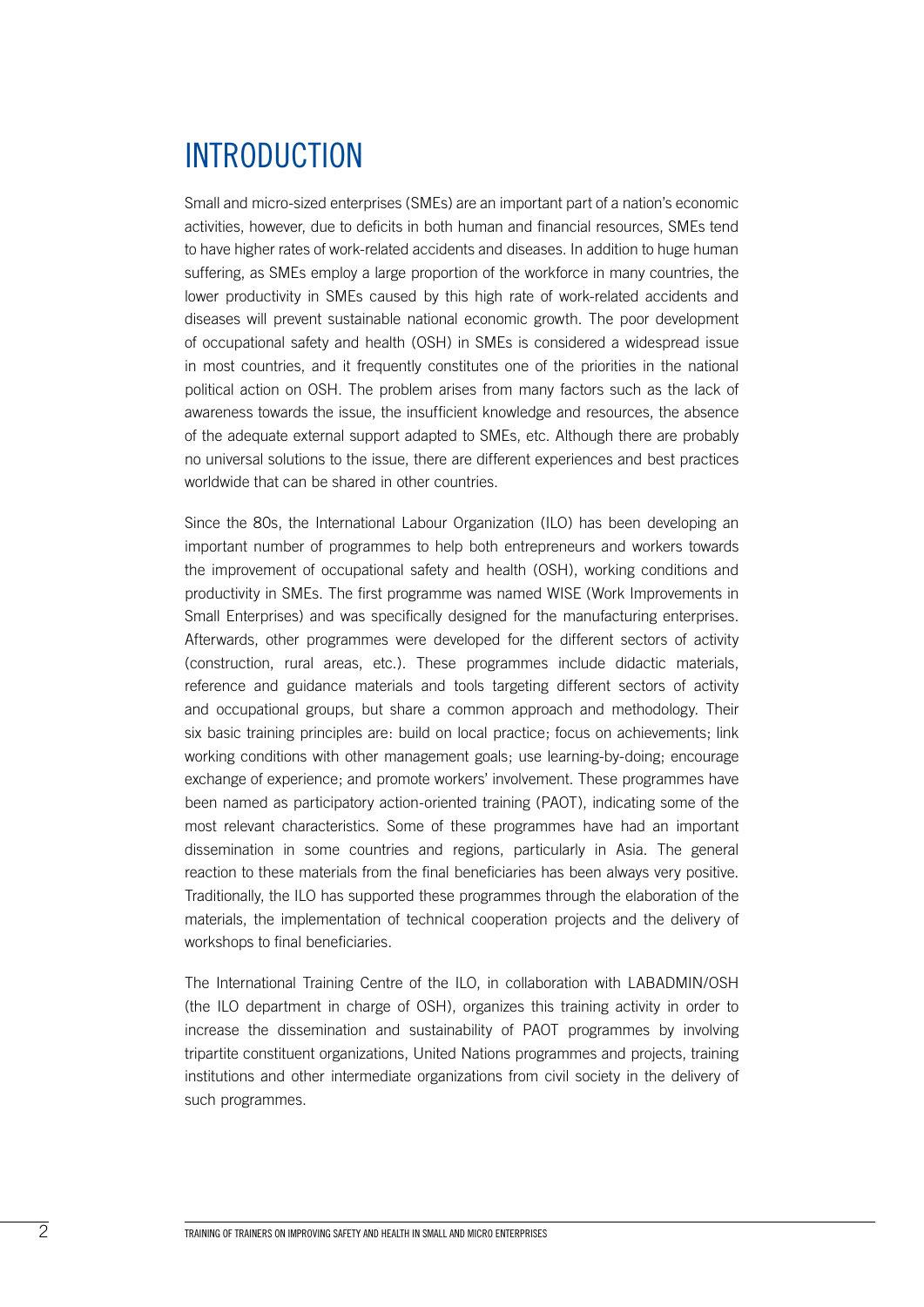## INTRODUCTION

Small and micro-sized enterprises (SMEs) are an important part of a nation's economic activities, however, due to deficits in both human and financial resources, SMEs tend to have higher rates of work-related accidents and diseases. In addition to huge human suffering, as SMEs employ a large proportion of the workforce in many countries, the lower productivity in SMEs caused by this high rate of work-related accidents and diseases will prevent sustainable national economic growth. The poor development of occupational safety and health (OSH) in SMEs is considered a widespread issue in most countries, and it frequently constitutes one of the priorities in the national political action on OSH. The problem arises from many factors such as the lack of awareness towards the issue, the insufficient knowledge and resources, the absence of the adequate external support adapted to SMEs, etc. Although there are probably no universal solutions to the issue, there are different experiences and best practices worldwide that can be shared in other countries.

Since the 80s, the International Labour Organization (ILO) has been developing an important number of programmes to help both entrepreneurs and workers towards the improvement of occupational safety and health (OSH), working conditions and productivity in SMEs. The first programme was named WISE (Work Improvements in Small Enterprises) and was specifically designed for the manufacturing enterprises. Afterwards, other programmes were developed for the different sectors of activity (construction, rural areas, etc.). These programmes include didactic materials, reference and guidance materials and tools targeting different sectors of activity and occupational groups, but share a common approach and methodology. Their six basic training principles are: build on local practice; focus on achievements; link working conditions with other management goals; use learning-by-doing; encourage exchange of experience; and promote workers' involvement. These programmes have been named as participatory action-oriented training (PAOT), indicating some of the most relevant characteristics. Some of these programmes have had an important dissemination in some countries and regions, particularly in Asia. The general reaction to these materials from the final beneficiaries has been always very positive. Traditionally, the ILO has supported these programmes through the elaboration of the materials, the implementation of technical cooperation projects and the delivery of workshops to final beneficiaries.

The International Training Centre of the ILO, in collaboration with LABADMIN/OSH (the ILO department in charge of OSH), organizes this training activity in order to increase the dissemination and sustainability of PAOT programmes by involving tripartite constituent organizations, United Nations programmes and projects, training institutions and other intermediate organizations from civil society in the delivery of such programmes.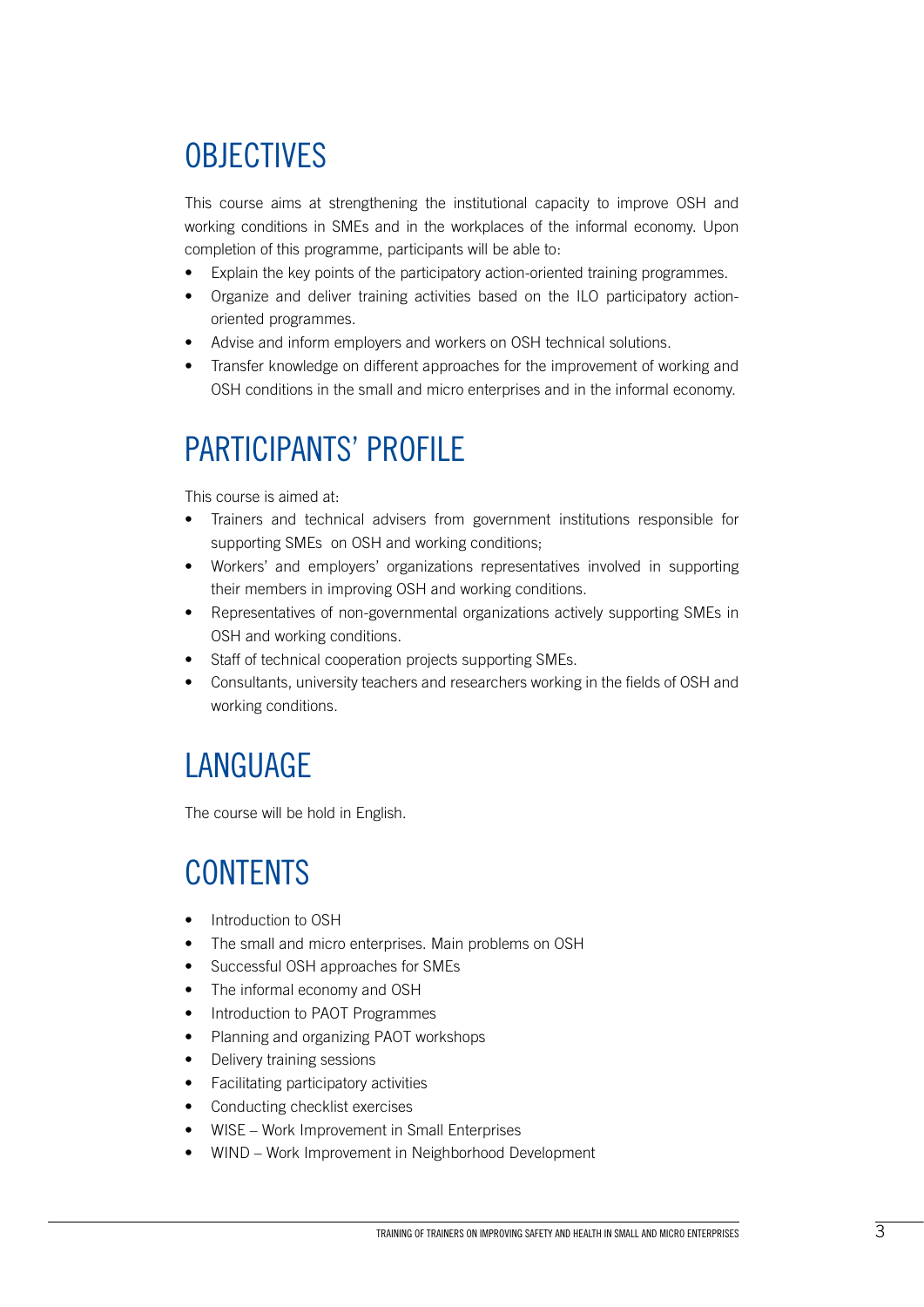# **OBJECTIVES**

This course aims at strengthening the institutional capacity to improve OSH and working conditions in SMEs and in the workplaces of the informal economy. Upon completion of this programme, participants will be able to:

- Explain the key points of the participatory action-oriented training programmes.
- Organize and deliver training activities based on the ILO participatory actionoriented programmes.
- Advise and inform employers and workers on OSH technical solutions.
- Transfer knowledge on different approaches for the improvement of working and OSH conditions in the small and micro enterprises and in the informal economy.

### PARTICIPANTS' PROFILE

This course is aimed at:

- Trainers and technical advisers from government institutions responsible for supporting SMEs on OSH and working conditions;
- Workers' and employers' organizations representatives involved in supporting their members in improving OSH and working conditions.
- Representatives of non-governmental organizations actively supporting SMEs in OSH and working conditions.
- Staff of technical cooperation projects supporting SMEs.
- Consultants, university teachers and researchers working in the fields of OSH and working conditions.

### LANGUAGE

The course will be hold in English.

# **CONTENTS**

- Introduction to OSH
- The small and micro enterprises. Main problems on OSH
- Successful OSH approaches for SMEs
- The informal economy and OSH
- Introduction to PAOT Programmes
- Planning and organizing PAOT workshops
- Delivery training sessions
- Facilitating participatory activities
- Conducting checklist exercises
- WISE Work Improvement in Small Enterprises
- WIND Work Improvement in Neighborhood Development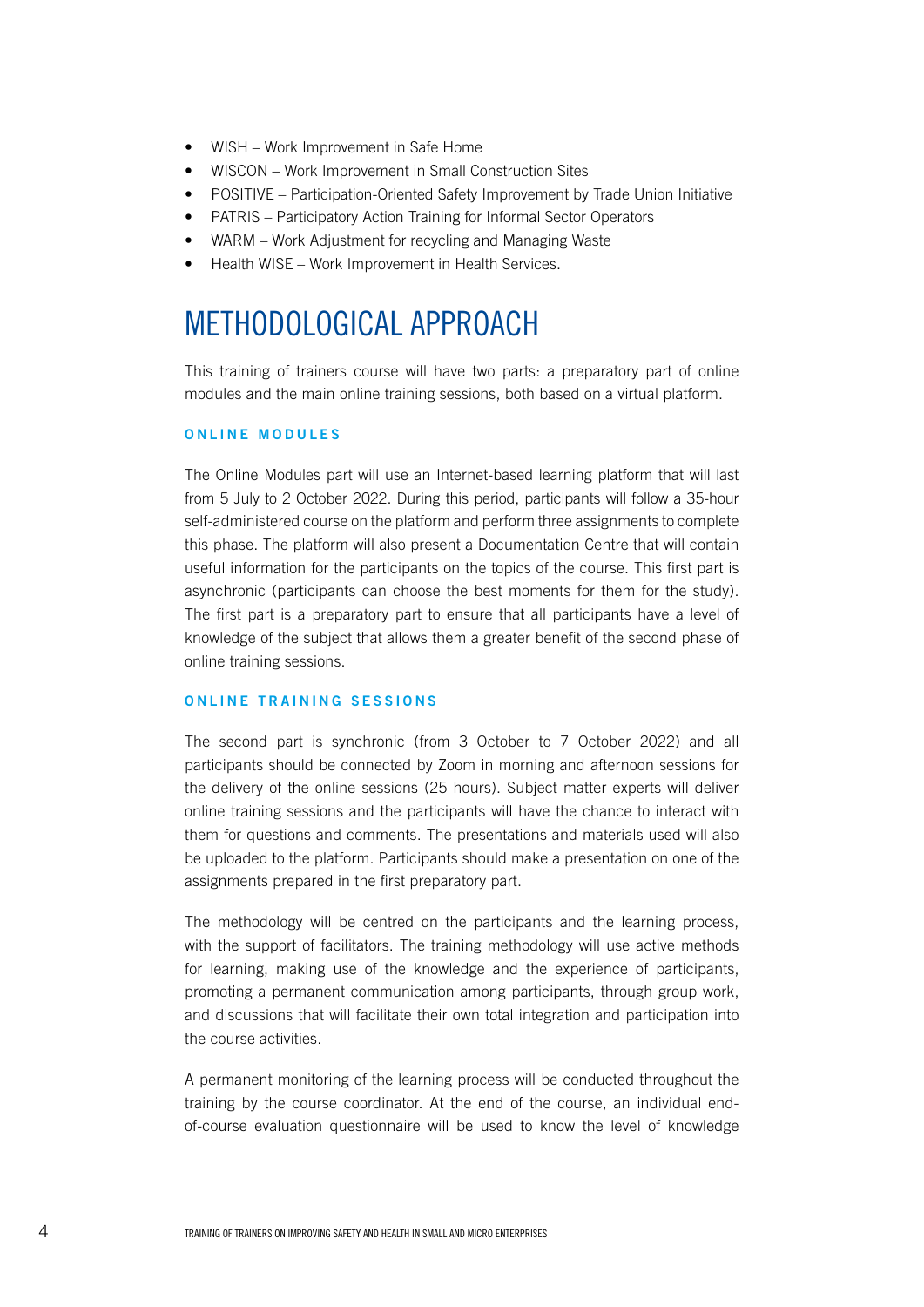- WISH Work Improvement in Safe Home
- WISCON Work Improvement in Small Construction Sites
- POSITIVE Participation-Oriented Safety Improvement by Trade Union Initiative
- PATRIS Participatory Action Training for Informal Sector Operators
- WARM Work Adjustment for recycling and Managing Waste
- Health WISE Work Improvement in Health Services.

### METHODOLOGICAL APPROACH

This training of trainers course will have two parts: a preparatory part of online modules and the main online training sessions, both based on a virtual platform.

### **ONLINE MODULES**

The Online Modules part will use an Internet-based learning platform that will last from 5 July to 2 October 2022. During this period, participants will follow a 35-hour self-administered course on the platform and perform three assignments to complete this phase. The platform will also present a Documentation Centre that will contain useful information for the participants on the topics of the course. This first part is asynchronic (participants can choose the best moments for them for the study). The first part is a preparatory part to ensure that all participants have a level of knowledge of the subject that allows them a greater benefit of the second phase of online training sessions.

### **ONLINE TRAINING SESSIONS**

The second part is synchronic (from 3 October to 7 October 2022) and all participants should be connected by Zoom in morning and afternoon sessions for the delivery of the online sessions (25 hours). Subject matter experts will deliver online training sessions and the participants will have the chance to interact with them for questions and comments. The presentations and materials used will also be uploaded to the platform. Participants should make a presentation on one of the assignments prepared in the first preparatory part.

The methodology will be centred on the participants and the learning process, with the support of facilitators. The training methodology will use active methods for learning, making use of the knowledge and the experience of participants, promoting a permanent communication among participants, through group work, and discussions that will facilitate their own total integration and participation into the course activities.

A permanent monitoring of the learning process will be conducted throughout the training by the course coordinator. At the end of the course, an individual endof-course evaluation questionnaire will be used to know the level of knowledge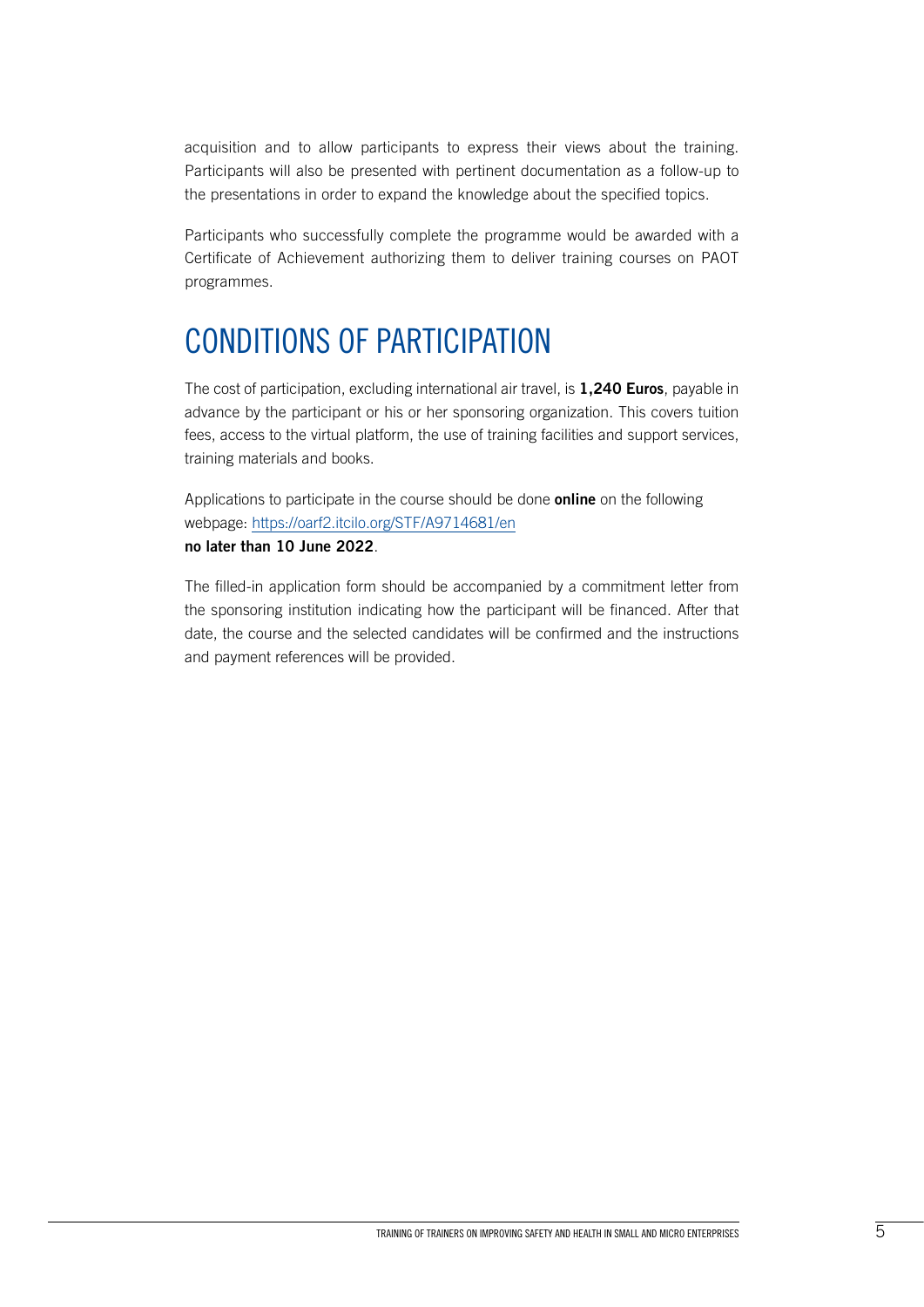acquisition and to allow participants to express their views about the training. Participants will also be presented with pertinent documentation as a follow-up to the presentations in order to expand the knowledge about the specified topics.

Participants who successfully complete the programme would be awarded with a Certificate of Achievement authorizing them to deliver training courses on PAOT programmes.

### CONDITIONS OF PARTICIPATION

The cost of participation, excluding international air travel, is **1,240 Euros**, payable in advance by the participant or his or her sponsoring organization. This covers tuition fees, access to the virtual platform, the use of training facilities and support services, training materials and books.

Applications to participate in the course should be done **online** on the following webpage:<https://oarf2.itcilo.org/STF/A9714681/en> **no later than 10 June 2022**.

The filled-in application form should be accompanied by a commitment letter from the sponsoring institution indicating how the participant will be financed. After that date, the course and the selected candidates will be confirmed and the instructions and payment references will be provided.